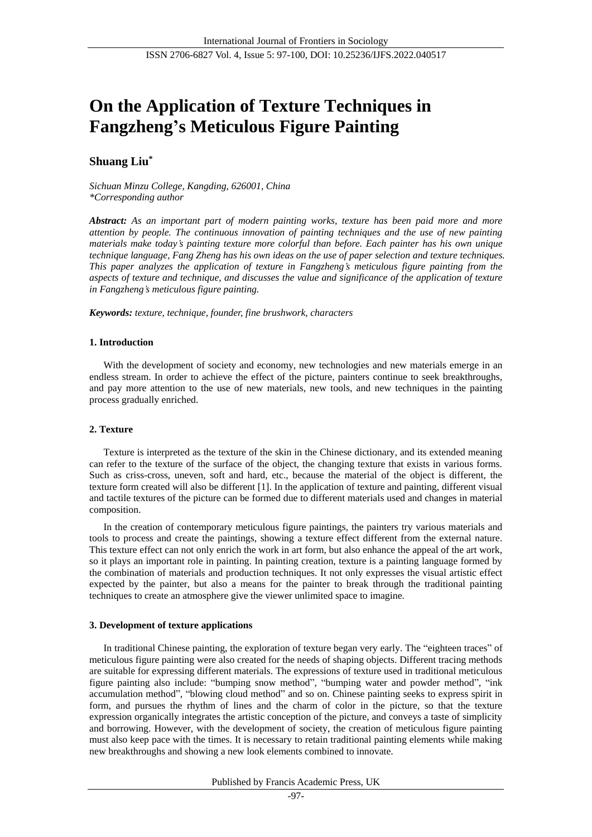# **On the Application of Texture Techniques in Fangzheng's Meticulous Figure Painting**

## **Shuang Liu\***

*Sichuan Minzu College, Kangding, 626001, China \*Corresponding author*

*Abstract: As an important part of modern painting works, texture has been paid more and more attention by people. The continuous innovation of painting techniques and the use of new painting materials make today's painting texture more colorful than before. Each painter has his own unique technique language, Fang Zheng has his own ideas on the use of paper selection and texture techniques. This paper analyzes the application of texture in Fangzheng's meticulous figure painting from the aspects of texture and technique, and discusses the value and significance of the application of texture in Fangzheng's meticulous figure painting.*

*Keywords: texture, technique, founder, fine brushwork, characters*

## **1. Introduction**

With the development of society and economy, new technologies and new materials emerge in an endless stream. In order to achieve the effect of the picture, painters continue to seek breakthroughs, and pay more attention to the use of new materials, new tools, and new techniques in the painting process gradually enriched.

## **2. Texture**

Texture is interpreted as the texture of the skin in the Chinese dictionary, and its extended meaning can refer to the texture of the surface of the object, the changing texture that exists in various forms. Such as criss-cross, uneven, soft and hard, etc., because the material of the object is different, the texture form created will also be different [1]. In the application of texture and painting, different visual and tactile textures of the picture can be formed due to different materials used and changes in material composition.

In the creation of contemporary meticulous figure paintings, the painters try various materials and tools to process and create the paintings, showing a texture effect different from the external nature. This texture effect can not only enrich the work in art form, but also enhance the appeal of the art work, so it plays an important role in painting. In painting creation, texture is a painting language formed by the combination of materials and production techniques. It not only expresses the visual artistic effect expected by the painter, but also a means for the painter to break through the traditional painting techniques to create an atmosphere give the viewer unlimited space to imagine.

## **3. Development of texture applications**

In traditional Chinese painting, the exploration of texture began very early. The "eighteen traces" of meticulous figure painting were also created for the needs of shaping objects. Different tracing methods are suitable for expressing different materials. The expressions of texture used in traditional meticulous figure painting also include: "bumping snow method", "bumping water and powder method", "ink accumulation method", "blowing cloud method" and so on. Chinese painting seeks to express spirit in form, and pursues the rhythm of lines and the charm of color in the picture, so that the texture expression organically integrates the artistic conception of the picture, and conveys a taste of simplicity and borrowing. However, with the development of society, the creation of meticulous figure painting must also keep pace with the times. It is necessary to retain traditional painting elements while making new breakthroughs and showing a new look elements combined to innovate.

#### Published by Francis Academic Press, UK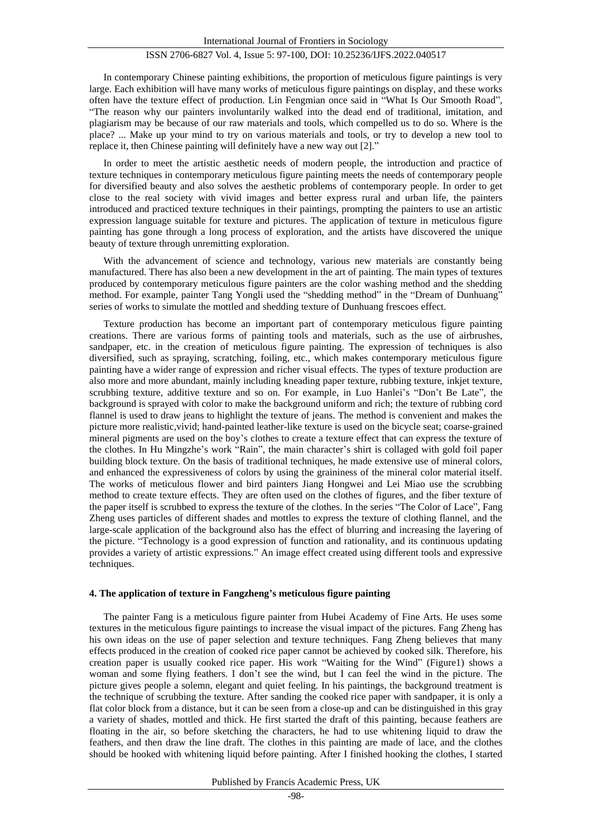## ISSN 2706-6827 Vol. 4, Issue 5: 97-100, DOI: 10.25236/IJFS.2022.040517

In contemporary Chinese painting exhibitions, the proportion of meticulous figure paintings is very large. Each exhibition will have many works of meticulous figure paintings on display, and these works often have the texture effect of production. Lin Fengmian once said in "What Is Our Smooth Road", "The reason why our painters involuntarily walked into the dead end of traditional, imitation, and plagiarism may be because of our raw materials and tools, which compelled us to do so. Where is the place? ... Make up your mind to try on various materials and tools, or try to develop a new tool to replace it, then Chinese painting will definitely have a new way out [2]."

In order to meet the artistic aesthetic needs of modern people, the introduction and practice of texture techniques in contemporary meticulous figure painting meets the needs of contemporary people for diversified beauty and also solves the aesthetic problems of contemporary people. In order to get close to the real society with vivid images and better express rural and urban life, the painters introduced and practiced texture techniques in their paintings, prompting the painters to use an artistic expression language suitable for texture and pictures. The application of texture in meticulous figure painting has gone through a long process of exploration, and the artists have discovered the unique beauty of texture through unremitting exploration.

With the advancement of science and technology, various new materials are constantly being manufactured. There has also been a new development in the art of painting. The main types of textures produced by contemporary meticulous figure painters are the color washing method and the shedding method. For example, painter Tang Yongli used the "shedding method" in the "Dream of Dunhuang" series of works to simulate the mottled and shedding texture of Dunhuang frescoes effect.

Texture production has become an important part of contemporary meticulous figure painting creations. There are various forms of painting tools and materials, such as the use of airbrushes, sandpaper, etc. in the creation of meticulous figure painting. The expression of techniques is also diversified, such as spraying, scratching, foiling, etc., which makes contemporary meticulous figure painting have a wider range of expression and richer visual effects. The types of texture production are also more and more abundant, mainly including kneading paper texture, rubbing texture, inkjet texture, scrubbing texture, additive texture and so on. For example, in Luo Hanlei's "Don't Be Late", the background is sprayed with color to make the background uniform and rich; the texture of rubbing cord flannel is used to draw jeans to highlight the texture of jeans. The method is convenient and makes the picture more realistic,vivid; hand-painted leather-like texture is used on the bicycle seat; coarse-grained mineral pigments are used on the boy's clothes to create a texture effect that can express the texture of the clothes. In Hu Mingzhe's work "Rain", the main character's shirt is collaged with gold foil paper building block texture. On the basis of traditional techniques, he made extensive use of mineral colors, and enhanced the expressiveness of colors by using the graininess of the mineral color material itself. The works of meticulous flower and bird painters Jiang Hongwei and Lei Miao use the scrubbing method to create texture effects. They are often used on the clothes of figures, and the fiber texture of the paper itself is scrubbed to express the texture of the clothes. In the series "The Color of Lace", Fang Zheng uses particles of different shades and mottles to express the texture of clothing flannel, and the large-scale application of the background also has the effect of blurring and increasing the layering of the picture. "Technology is a good expression of function and rationality, and its continuous updating provides a variety of artistic expressions." An image effect created using different tools and expressive techniques.

#### **4. The application of texture in Fangzheng's meticulous figure painting**

The painter Fang is a meticulous figure painter from Hubei Academy of Fine Arts. He uses some textures in the meticulous figure paintings to increase the visual impact of the pictures. Fang Zheng has his own ideas on the use of paper selection and texture techniques. Fang Zheng believes that many effects produced in the creation of cooked rice paper cannot be achieved by cooked silk. Therefore, his creation paper is usually cooked rice paper. His work "Waiting for the Wind" (Figure1) shows a woman and some flying feathers. I don't see the wind, but I can feel the wind in the picture. The picture gives people a solemn, elegant and quiet feeling. In his paintings, the background treatment is the technique of scrubbing the texture. After sanding the cooked rice paper with sandpaper, it is only a flat color block from a distance, but it can be seen from a close-up and can be distinguished in this gray a variety of shades, mottled and thick. He first started the draft of this painting, because feathers are floating in the air, so before sketching the characters, he had to use whitening liquid to draw the feathers, and then draw the line draft. The clothes in this painting are made of lace, and the clothes should be hooked with whitening liquid before painting. After I finished hooking the clothes, I started

Published by Francis Academic Press, UK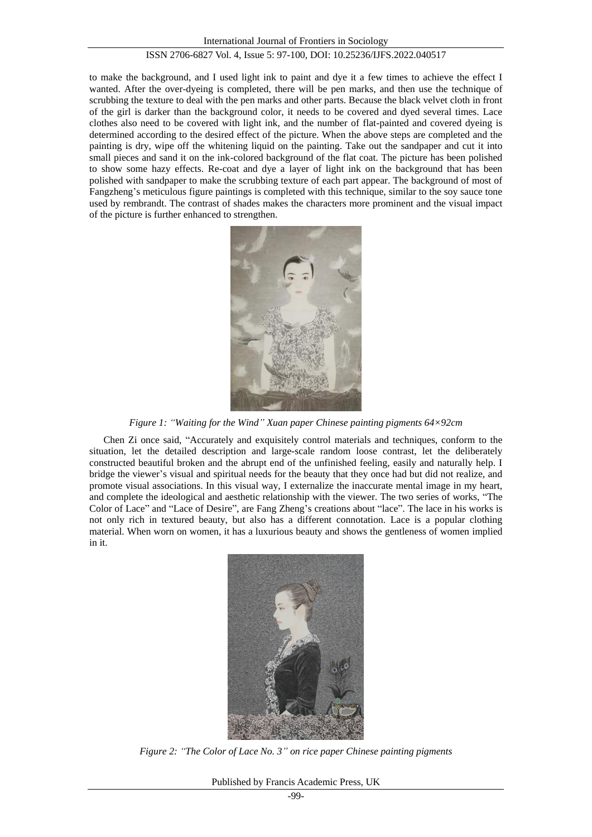## ISSN 2706-6827 Vol. 4, Issue 5: 97-100, DOI: 10.25236/IJFS.2022.040517

to make the background, and I used light ink to paint and dye it a few times to achieve the effect I wanted. After the over-dyeing is completed, there will be pen marks, and then use the technique of scrubbing the texture to deal with the pen marks and other parts. Because the black velvet cloth in front of the girl is darker than the background color, it needs to be covered and dyed several times. Lace clothes also need to be covered with light ink, and the number of flat-painted and covered dyeing is determined according to the desired effect of the picture. When the above steps are completed and the painting is dry, wipe off the whitening liquid on the painting. Take out the sandpaper and cut it into small pieces and sand it on the ink-colored background of the flat coat. The picture has been polished to show some hazy effects. Re-coat and dye a layer of light ink on the background that has been polished with sandpaper to make the scrubbing texture of each part appear. The background of most of Fangzheng's meticulous figure paintings is completed with this technique, similar to the soy sauce tone used by rembrandt. The contrast of shades makes the characters more prominent and the visual impact of the picture is further enhanced to strengthen.



*Figure 1: "Waiting for the Wind" Xuan paper Chinese painting pigments 64×92cm*

Chen Zi once said, "Accurately and exquisitely control materials and techniques, conform to the situation, let the detailed description and large-scale random loose contrast, let the deliberately constructed beautiful broken and the abrupt end of the unfinished feeling, easily and naturally help. I bridge the viewer's visual and spiritual needs for the beauty that they once had but did not realize, and promote visual associations. In this visual way, I externalize the inaccurate mental image in my heart, and complete the ideological and aesthetic relationship with the viewer. The two series of works, "The Color of Lace" and "Lace of Desire", are Fang Zheng's creations about "lace". The lace in his works is not only rich in textured beauty, but also has a different connotation. Lace is a popular clothing material. When worn on women, it has a luxurious beauty and shows the gentleness of women implied in it.



*Figure 2: "The Color of Lace No. 3" on rice paper Chinese painting pigments*

Published by Francis Academic Press, UK